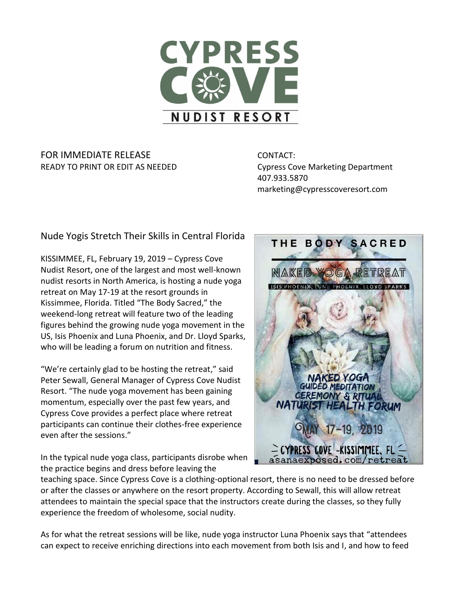

## FOR IMMEDIATE RELEASE **CONTACT:** READY TO PRINT OR EDIT AS NEEDED COUPS Cove Marketing Department

407.933.5870 marketing@cypresscoveresort.com

Nude Yogis Stretch Their Skills in Central Florida

KISSIMMEE, FL, February 19, 2019 – Cypress Cove Nudist Resort, one of the largest and most well-known nudist resorts in North America, is hosting a nude yoga retreat on May 17-19 at the resort grounds in Kissimmee, Florida. Titled "The Body Sacred," the weekend-long retreat will feature two of the leading figures behind the growing nude yoga movement in the US, Isis Phoenix and Luna Phoenix, and Dr. Lloyd Sparks, who will be leading a forum on nutrition and fitness.

"We're certainly glad to be hosting the retreat," said Peter Sewall, General Manager of Cypress Cove Nudist Resort. "The nude yoga movement has been gaining momentum, especially over the past few years, and Cypress Cove provides a perfect place where retreat participants can continue their clothes-free experience even after the sessions."

In the typical nude yoga class, participants disrobe when the practice begins and dress before leaving the



teaching space. Since Cypress Cove is a clothing-optional resort, there is no need to be dressed before or after the classes or anywhere on the resort property. According to Sewall, this will allow retreat attendees to maintain the special space that the instructors create during the classes, so they fully experience the freedom of wholesome, social nudity.

As for what the retreat sessions will be like, nude yoga instructor Luna Phoenix says that "attendees can expect to receive enriching directions into each movement from both Isis and I, and how to feed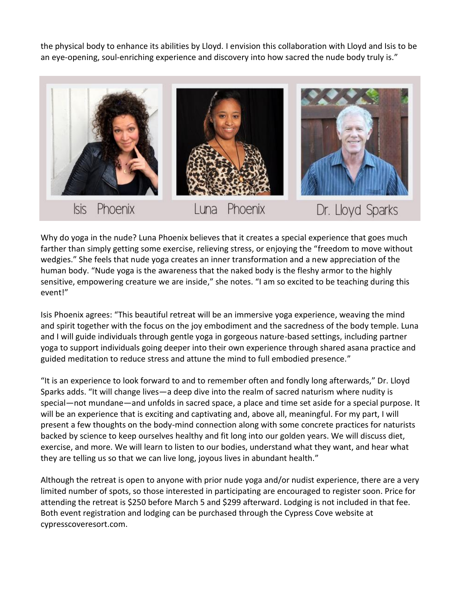the physical body to enhance its abilities by Lloyd. I envision this collaboration with Lloyd and Isis to be an eye-opening, soul-enriching experience and discovery into how sacred the nude body truly is."



Why do yoga in the nude? Luna Phoenix believes that it creates a special experience that goes much farther than simply getting some exercise, relieving stress, or enjoying the "freedom to move without wedgies." She feels that nude yoga creates an inner transformation and a new appreciation of the human body. "Nude yoga is the awareness that the naked body is the fleshy armor to the highly sensitive, empowering creature we are inside," she notes. "I am so excited to be teaching during this event!"

Isis Phoenix agrees: "This beautiful retreat will be an immersive yoga experience, weaving the mind and spirit together with the focus on the joy embodiment and the sacredness of the body temple. Luna and I will guide individuals through gentle yoga in gorgeous nature-based settings, including partner yoga to support individuals going deeper into their own experience through shared asana practice and guided meditation to reduce stress and attune the mind to full embodied presence."

"It is an experience to look forward to and to remember often and fondly long afterwards," Dr. Lloyd Sparks adds. "It will change lives—a deep dive into the realm of sacred naturism where nudity is special—not mundane—and unfolds in sacred space, a place and time set aside for a special purpose. It will be an experience that is exciting and captivating and, above all, meaningful. For my part, I will present a few thoughts on the body-mind connection along with some concrete practices for naturists backed by science to keep ourselves healthy and fit long into our golden years. We will discuss diet, exercise, and more. We will learn to listen to our bodies, understand what they want, and hear what they are telling us so that we can live long, joyous lives in abundant health."

Although the retreat is open to anyone with prior nude yoga and/or nudist experience, there are a very limited number of spots, so those interested in participating are encouraged to register soon. Price for attending the retreat is \$250 before March 5 and \$299 afterward. Lodging is not included in that fee. Both event registration and lodging can be purchased through the Cypress Cove website at cypresscoveresort.com.